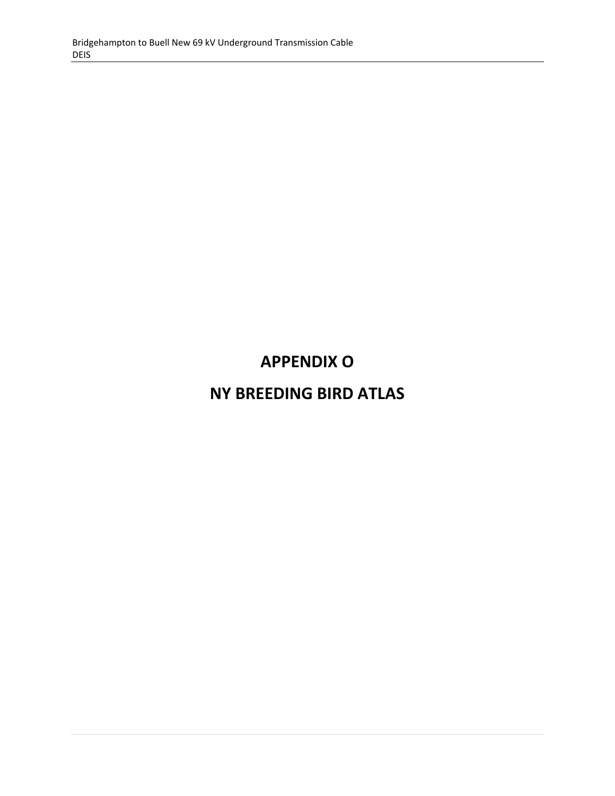## **APPENDIX O**

## **NY BREEDING BIRD ATLAS**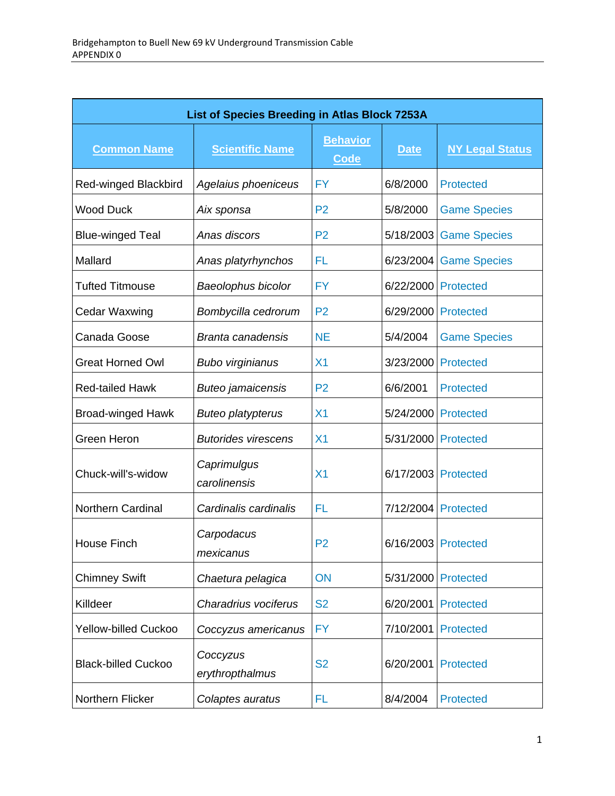| List of Species Breeding in Atlas Block 7253A |                             |                                |                     |                        |  |
|-----------------------------------------------|-----------------------------|--------------------------------|---------------------|------------------------|--|
| <b>Common Name</b>                            | <b>Scientific Name</b>      | <b>Behavior</b><br><b>Code</b> | <b>Date</b>         | <b>NY Legal Status</b> |  |
| <b>Red-winged Blackbird</b>                   | Agelaius phoeniceus         | <b>FY</b>                      | 6/8/2000            | <b>Protected</b>       |  |
| <b>Wood Duck</b>                              | Aix sponsa                  | P <sub>2</sub>                 | 5/8/2000            | <b>Game Species</b>    |  |
| <b>Blue-winged Teal</b>                       | Anas discors                | P <sub>2</sub>                 | 5/18/2003           | <b>Game Species</b>    |  |
| Mallard                                       | Anas platyrhynchos          | FL                             | 6/23/2004           | <b>Game Species</b>    |  |
| <b>Tufted Titmouse</b>                        | Baeolophus bicolor          | <b>FY</b>                      | 6/22/2000           | <b>Protected</b>       |  |
| Cedar Waxwing                                 | Bombycilla cedrorum         | P <sub>2</sub>                 | 6/29/2000           | <b>Protected</b>       |  |
| Canada Goose                                  | <b>Branta canadensis</b>    | <b>NE</b>                      | 5/4/2004            | <b>Game Species</b>    |  |
| <b>Great Horned Owl</b>                       | <b>Bubo virginianus</b>     | X <sub>1</sub>                 | 3/23/2000           | <b>Protected</b>       |  |
| <b>Red-tailed Hawk</b>                        | <b>Buteo jamaicensis</b>    | P <sub>2</sub>                 | 6/6/2001            | <b>Protected</b>       |  |
| <b>Broad-winged Hawk</b>                      | <b>Buteo platypterus</b>    | X <sub>1</sub>                 | 5/24/2000           | <b>Protected</b>       |  |
| Green Heron                                   | <b>Butorides virescens</b>  | X <sub>1</sub>                 | 5/31/2000           | <b>Protected</b>       |  |
| Chuck-will's-widow                            | Caprimulgus<br>carolinensis | X <sub>1</sub>                 | 6/17/2003           | <b>Protected</b>       |  |
| Northern Cardinal                             | Cardinalis cardinalis       | FL                             | 7/12/2004           | <b>Protected</b>       |  |
| <b>House Finch</b>                            | Carpodacus<br>mexicanus     | P <sub>2</sub>                 | 6/16/2003 Protected |                        |  |
| <b>Chimney Swift</b>                          | Chaetura pelagica           | ON                             | 5/31/2000           | <b>Protected</b>       |  |
| Killdeer                                      | Charadrius vociferus        | <b>S2</b>                      | 6/20/2001           | <b>Protected</b>       |  |
| <b>Yellow-billed Cuckoo</b>                   | Coccyzus americanus         | <b>FY</b>                      | 7/10/2001           | <b>Protected</b>       |  |
| <b>Black-billed Cuckoo</b>                    | Coccyzus<br>erythropthalmus | <b>S2</b>                      | 6/20/2001           | <b>Protected</b>       |  |
| Northern Flicker                              | Colaptes auratus            | FL                             | 8/4/2004            | <b>Protected</b>       |  |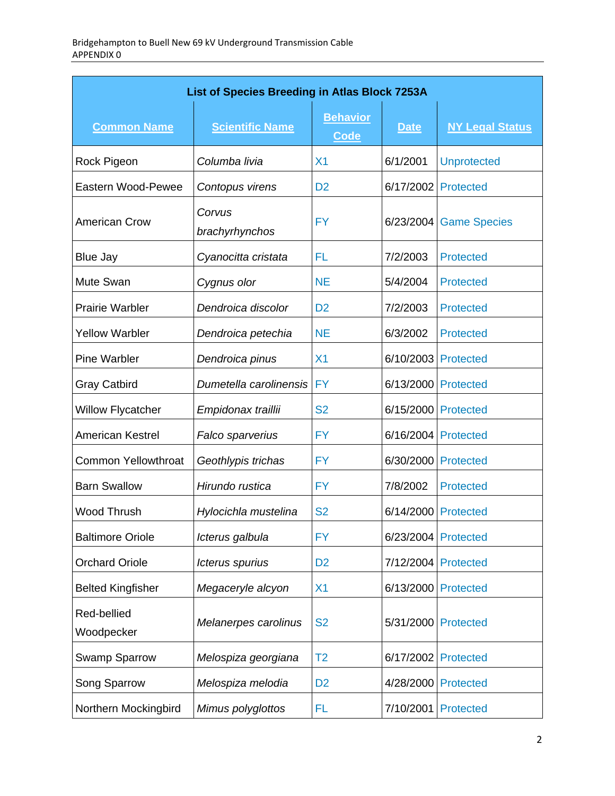| List of Species Breeding in Atlas Block 7253A |                          |                                |             |                        |
|-----------------------------------------------|--------------------------|--------------------------------|-------------|------------------------|
| <b>Common Name</b>                            | <b>Scientific Name</b>   | <b>Behavior</b><br><b>Code</b> | <b>Date</b> | <b>NY Legal Status</b> |
| Rock Pigeon                                   | Columba livia            | X <sub>1</sub>                 | 6/1/2001    | <b>Unprotected</b>     |
| Eastern Wood-Pewee                            | Contopus virens          | D <sub>2</sub>                 | 6/17/2002   | <b>Protected</b>       |
| <b>American Crow</b>                          | Corvus<br>brachyrhynchos | <b>FY</b>                      | 6/23/2004   | <b>Game Species</b>    |
| <b>Blue Jay</b>                               | Cyanocitta cristata      | FL                             | 7/2/2003    | <b>Protected</b>       |
| Mute Swan                                     | Cygnus olor              | <b>NE</b>                      | 5/4/2004    | <b>Protected</b>       |
| <b>Prairie Warbler</b>                        | Dendroica discolor       | D <sub>2</sub>                 | 7/2/2003    | <b>Protected</b>       |
| <b>Yellow Warbler</b>                         | Dendroica petechia       | <b>NE</b>                      | 6/3/2002    | <b>Protected</b>       |
| <b>Pine Warbler</b>                           | Dendroica pinus          | X <sub>1</sub>                 | 6/10/2003   | Protected              |
| <b>Gray Catbird</b>                           | Dumetella carolinensis   | <b>FY</b>                      | 6/13/2000   | <b>Protected</b>       |
| <b>Willow Flycatcher</b>                      | Empidonax traillii       | <b>S2</b>                      | 6/15/2000   | <b>Protected</b>       |
| <b>American Kestrel</b>                       | Falco sparverius         | <b>FY</b>                      | 6/16/2004   | Protected              |
| <b>Common Yellowthroat</b>                    | Geothlypis trichas       | <b>FY</b>                      | 6/30/2000   | <b>Protected</b>       |
| <b>Barn Swallow</b>                           | Hirundo rustica          | <b>FY</b>                      | 7/8/2002    | <b>Protected</b>       |
| Wood Thrush                                   | Hylocichla mustelina     | <b>S2</b>                      | 6/14/2000   | <b>Protected</b>       |
| <b>Baltimore Oriole</b>                       | Icterus galbula          | <b>FY</b>                      | 6/23/2004   | Protected              |
| <b>Orchard Oriole</b>                         | Icterus spurius          | D <sub>2</sub>                 | 7/12/2004   | Protected              |
| <b>Belted Kingfisher</b>                      | Megaceryle alcyon        | X <sub>1</sub>                 | 6/13/2000   | Protected              |
| Red-bellied<br>Woodpecker                     | Melanerpes carolinus     | <b>S2</b>                      | 5/31/2000   | Protected              |
| Swamp Sparrow                                 | Melospiza georgiana      | T <sub>2</sub>                 | 6/17/2002   | <b>Protected</b>       |
| Song Sparrow                                  | Melospiza melodia        | D <sub>2</sub>                 | 4/28/2000   | <b>Protected</b>       |
| Northern Mockingbird                          | Mimus polyglottos        | FL                             | 7/10/2001   | <b>Protected</b>       |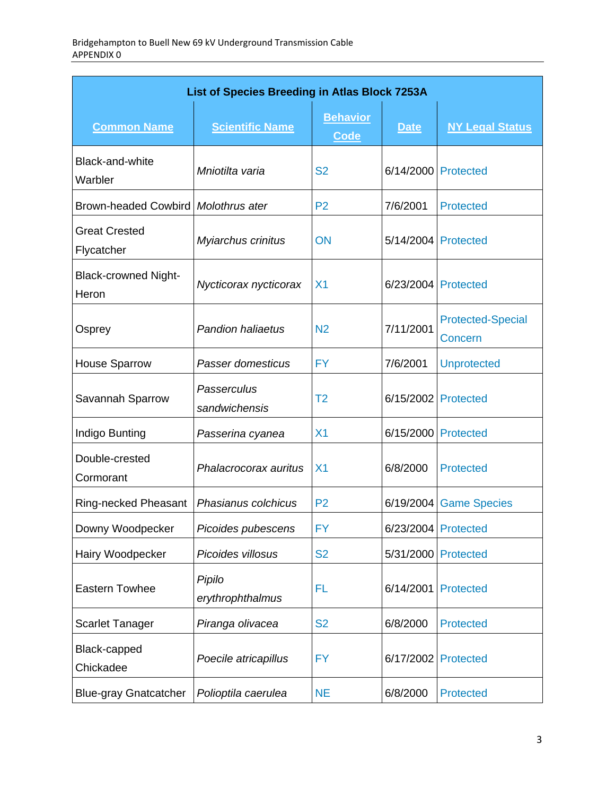| List of Species Breeding in Atlas Block 7253A |                              |                         |             |                                     |  |
|-----------------------------------------------|------------------------------|-------------------------|-------------|-------------------------------------|--|
| <b>Common Name</b>                            | <b>Scientific Name</b>       | <b>Behavior</b><br>Code | <b>Date</b> | <b>NY Legal Status</b>              |  |
| Black-and-white<br>Warbler                    | Mniotilta varia              | <b>S2</b>               | 6/14/2000   | Protected                           |  |
| Brown-headed Cowbird Molothrus ater           |                              | P <sub>2</sub>          | 7/6/2001    | <b>Protected</b>                    |  |
| <b>Great Crested</b><br>Flycatcher            | Myiarchus crinitus           | ON                      | 5/14/2004   | Protected                           |  |
| <b>Black-crowned Night-</b><br>Heron          | Nycticorax nycticorax        | X <sub>1</sub>          | 6/23/2004   | Protected                           |  |
| Osprey                                        | <b>Pandion haliaetus</b>     | N <sub>2</sub>          | 7/11/2001   | <b>Protected-Special</b><br>Concern |  |
| <b>House Sparrow</b>                          | Passer domesticus            | <b>FY</b>               | 7/6/2001    | <b>Unprotected</b>                  |  |
| Savannah Sparrow                              | Passerculus<br>sandwichensis | T <sub>2</sub>          | 6/15/2002   | Protected                           |  |
| Indigo Bunting                                | Passerina cyanea             | X <sub>1</sub>          | 6/15/2000   | <b>Protected</b>                    |  |
| Double-crested<br>Cormorant                   | Phalacrocorax auritus        | X <sub>1</sub>          | 6/8/2000    | <b>Protected</b>                    |  |
| Ring-necked Pheasant                          | Phasianus colchicus          | P <sub>2</sub>          | 6/19/2004   | <b>Game Species</b>                 |  |
| Downy Woodpecker                              | Picoides pubescens           | <b>FY</b>               |             | 6/23/2004 Protected                 |  |
| Hairy Woodpecker                              | Picoides villosus            | <b>S2</b>               | 5/31/2000   | <b>Protected</b>                    |  |
| Eastern Towhee                                | Pipilo<br>erythrophthalmus   | FL                      | 6/14/2001   | Protected                           |  |
| <b>Scarlet Tanager</b>                        | Piranga olivacea             | <b>S2</b>               | 6/8/2000    | <b>Protected</b>                    |  |
| Black-capped<br>Chickadee                     | Poecile atricapillus         | <b>FY</b>               | 6/17/2002   | Protected                           |  |
| <b>Blue-gray Gnatcatcher</b>                  | Polioptila caerulea          | <b>NE</b>               | 6/8/2000    | <b>Protected</b>                    |  |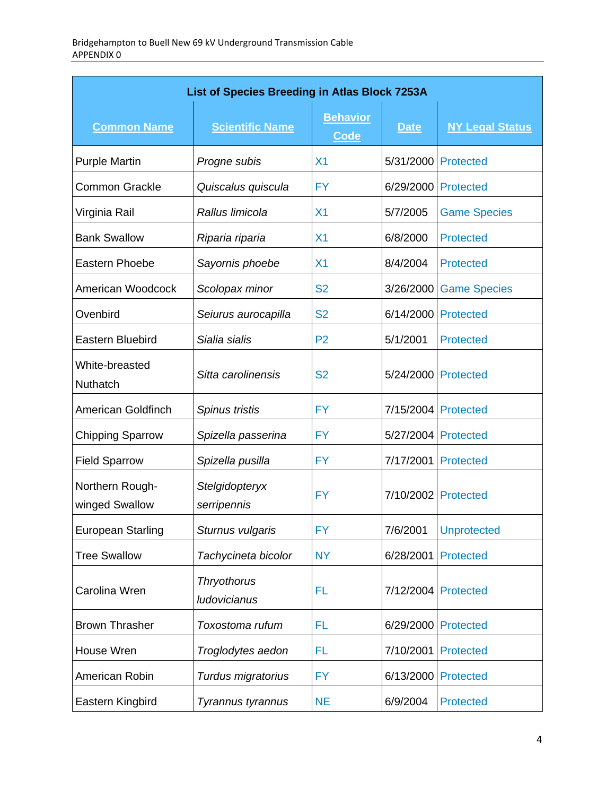| List of Species Breeding in Atlas Block 7253A |                                    |                                |                     |                        |  |
|-----------------------------------------------|------------------------------------|--------------------------------|---------------------|------------------------|--|
| <b>Common Name</b>                            | <b>Scientific Name</b>             | <b>Behavior</b><br><b>Code</b> | <b>Date</b>         | <b>NY Legal Status</b> |  |
| <b>Purple Martin</b>                          | Progne subis                       | X <sub>1</sub>                 | 5/31/2000           | <b>Protected</b>       |  |
| <b>Common Grackle</b>                         | Quiscalus quiscula                 | <b>FY</b>                      | 6/29/2000           | <b>Protected</b>       |  |
| Virginia Rail                                 | Rallus limicola                    | X <sub>1</sub>                 | 5/7/2005            | <b>Game Species</b>    |  |
| <b>Bank Swallow</b>                           | Riparia riparia                    | X <sub>1</sub>                 | 6/8/2000            | <b>Protected</b>       |  |
| Eastern Phoebe                                | Sayornis phoebe                    | X <sub>1</sub>                 | 8/4/2004            | <b>Protected</b>       |  |
| American Woodcock                             | Scolopax minor                     | <b>S2</b>                      | 3/26/2000           | <b>Game Species</b>    |  |
| Ovenbird                                      | Seiurus aurocapilla                | <b>S2</b>                      | 6/14/2000           | <b>Protected</b>       |  |
| Eastern Bluebird                              | Sialia sialis                      | P <sub>2</sub>                 | 5/1/2001            | <b>Protected</b>       |  |
| White-breasted<br><b>Nuthatch</b>             | Sitta carolinensis                 | <b>S2</b>                      | 5/24/2000           | Protected              |  |
| American Goldfinch                            | Spinus tristis                     | <b>FY</b>                      | 7/15/2004           | Protected              |  |
| <b>Chipping Sparrow</b>                       | Spizella passerina                 | <b>FY</b>                      | 5/27/2004           | Protected              |  |
| <b>Field Sparrow</b>                          | Spizella pusilla                   | FY.                            | 7/17/2001           | <b>Protected</b>       |  |
| Northern Rough-<br>winged Swallow             | Stelgidopteryx<br>serripennis      | <b>FY</b>                      | 7/10/2002 Protected |                        |  |
| <b>European Starling</b>                      | Sturnus vulgaris                   | <b>FY</b>                      | 7/6/2001            | <b>Unprotected</b>     |  |
| <b>Tree Swallow</b>                           | Tachycineta bicolor                | <b>NY</b>                      | 6/28/2001           | <b>Protected</b>       |  |
| Carolina Wren                                 | Thryothorus<br><b>ludovicianus</b> | FL                             | 7/12/2004           | Protected              |  |
| <b>Brown Thrasher</b>                         | Toxostoma rufum                    | FL                             | 6/29/2000           | <b>Protected</b>       |  |
| House Wren                                    | Troglodytes aedon                  | FL                             | 7/10/2001           | <b>Protected</b>       |  |
| American Robin                                | Turdus migratorius                 | <b>FY</b>                      | 6/13/2000           | <b>Protected</b>       |  |
| Eastern Kingbird                              | Tyrannus tyrannus                  | <b>NE</b>                      | 6/9/2004            | <b>Protected</b>       |  |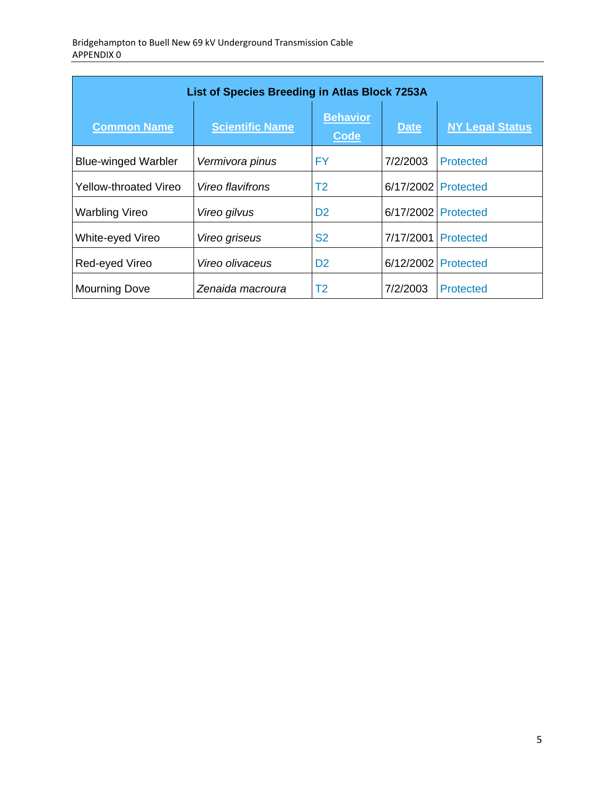| List of Species Breeding in Atlas Block 7253A |                        |                                |                     |                        |  |
|-----------------------------------------------|------------------------|--------------------------------|---------------------|------------------------|--|
| <b>Common Name</b>                            | <b>Scientific Name</b> | <b>Behavior</b><br><b>Code</b> | <b>Date</b>         | <b>NY Legal Status</b> |  |
| <b>Blue-winged Warbler</b>                    | Vermivora pinus        | FY                             | 7/2/2003            | Protected              |  |
| Yellow-throated Vireo                         | Vireo flavifrons       | T2                             | 6/17/2002 Protected |                        |  |
| <b>Warbling Vireo</b>                         | Vireo gilvus           | D <sub>2</sub>                 | 6/17/2002           | Protected              |  |
| White-eyed Vireo                              | Vireo griseus          | S <sub>2</sub>                 | 7/17/2001           | <b>Protected</b>       |  |
| Red-eyed Vireo                                | Vireo olivaceus        | D <sub>2</sub>                 | 6/12/2002           | Protected              |  |
| <b>Mourning Dove</b>                          | Zenaida macroura       | T2                             | 7/2/2003            | Protected              |  |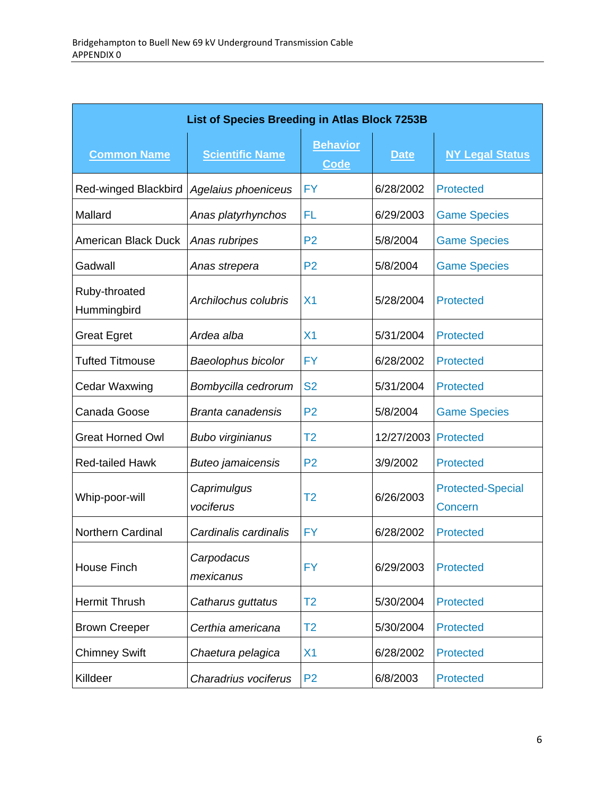| List of Species Breeding in Atlas Block 7253B |                          |                                |             |                                     |  |
|-----------------------------------------------|--------------------------|--------------------------------|-------------|-------------------------------------|--|
| <b>Common Name</b>                            | <b>Scientific Name</b>   | <b>Behavior</b><br><b>Code</b> | <b>Date</b> | <b>NY Legal Status</b>              |  |
| Red-winged Blackbird                          | Agelaius phoeniceus      | <b>FY</b>                      | 6/28/2002   | <b>Protected</b>                    |  |
| Mallard                                       | Anas platyrhynchos       | FL                             | 6/29/2003   | <b>Game Species</b>                 |  |
| <b>American Black Duck</b>                    | Anas rubripes            | P <sub>2</sub>                 | 5/8/2004    | <b>Game Species</b>                 |  |
| Gadwall                                       | Anas strepera            | P <sub>2</sub>                 | 5/8/2004    | <b>Game Species</b>                 |  |
| Ruby-throated<br>Hummingbird                  | Archilochus colubris     | X <sub>1</sub>                 | 5/28/2004   | <b>Protected</b>                    |  |
| <b>Great Egret</b>                            | Ardea alba               | X <sub>1</sub>                 | 5/31/2004   | <b>Protected</b>                    |  |
| <b>Tufted Titmouse</b>                        | Baeolophus bicolor       | FY                             | 6/28/2002   | <b>Protected</b>                    |  |
| <b>Cedar Waxwing</b>                          | Bombycilla cedrorum      | <b>S2</b>                      | 5/31/2004   | <b>Protected</b>                    |  |
| Canada Goose                                  | <b>Branta canadensis</b> | P <sub>2</sub>                 | 5/8/2004    | <b>Game Species</b>                 |  |
| <b>Great Horned Owl</b>                       | <b>Bubo virginianus</b>  | T2                             | 12/27/2003  | <b>Protected</b>                    |  |
| <b>Red-tailed Hawk</b>                        | <b>Buteo jamaicensis</b> | P <sub>2</sub>                 | 3/9/2002    | <b>Protected</b>                    |  |
| Whip-poor-will                                | Caprimulgus<br>vociferus | T2                             | 6/26/2003   | <b>Protected-Special</b><br>Concern |  |
| <b>Northern Cardinal</b>                      | Cardinalis cardinalis    | FY                             | 6/28/2002   | <b>Protected</b>                    |  |
| House Finch                                   | Carpodacus<br>mexicanus  | <b>FY</b>                      | 6/29/2003   | <b>Protected</b>                    |  |
| <b>Hermit Thrush</b>                          | Catharus guttatus        | T2                             | 5/30/2004   | <b>Protected</b>                    |  |
| <b>Brown Creeper</b>                          | Certhia americana        | T <sub>2</sub>                 | 5/30/2004   | <b>Protected</b>                    |  |
| <b>Chimney Swift</b>                          | Chaetura pelagica        | X <sub>1</sub>                 | 6/28/2002   | <b>Protected</b>                    |  |
| Killdeer                                      | Charadrius vociferus     | P <sub>2</sub>                 | 6/8/2003    | <b>Protected</b>                    |  |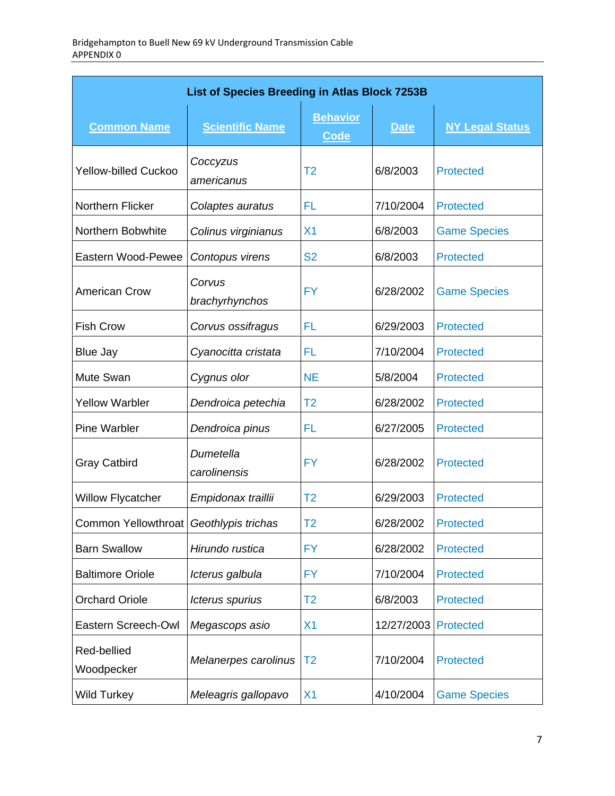| List of Species Breeding in Atlas Block 7253B |                           |                                |             |                        |  |
|-----------------------------------------------|---------------------------|--------------------------------|-------------|------------------------|--|
| <b>Common Name</b>                            | <b>Scientific Name</b>    | <b>Behavior</b><br><b>Code</b> | <b>Date</b> | <b>NY Legal Status</b> |  |
| <b>Yellow-billed Cuckoo</b>                   | Coccyzus<br>americanus    | T <sub>2</sub>                 | 6/8/2003    | <b>Protected</b>       |  |
| Northern Flicker                              | Colaptes auratus          | FL                             | 7/10/2004   | <b>Protected</b>       |  |
| Northern Bobwhite                             | Colinus virginianus       | X <sub>1</sub>                 | 6/8/2003    | <b>Game Species</b>    |  |
| Eastern Wood-Pewee                            | Contopus virens           | <b>S2</b>                      | 6/8/2003    | <b>Protected</b>       |  |
| <b>American Crow</b>                          | Corvus<br>brachyrhynchos  | <b>FY</b>                      | 6/28/2002   | <b>Game Species</b>    |  |
| <b>Fish Crow</b>                              | Corvus ossifragus         | FL                             | 6/29/2003   | <b>Protected</b>       |  |
| <b>Blue Jay</b>                               | Cyanocitta cristata       | FL                             | 7/10/2004   | <b>Protected</b>       |  |
| Mute Swan                                     | Cygnus olor               | <b>NE</b>                      | 5/8/2004    | <b>Protected</b>       |  |
| <b>Yellow Warbler</b>                         | Dendroica petechia        | T <sub>2</sub>                 | 6/28/2002   | <b>Protected</b>       |  |
| <b>Pine Warbler</b>                           | Dendroica pinus           | FL                             | 6/27/2005   | <b>Protected</b>       |  |
| <b>Gray Catbird</b>                           | Dumetella<br>carolinensis | <b>FY</b>                      | 6/28/2002   | <b>Protected</b>       |  |
| <b>Willow Flycatcher</b>                      | Empidonax traillii        | T <sub>2</sub>                 | 6/29/2003   | <b>Protected</b>       |  |
| Common Yellowthroat   Geothlypis trichas      |                           | T2                             | 6/28/2002   | <b>Protected</b>       |  |
| <b>Barn Swallow</b>                           | Hirundo rustica           | <b>FY</b>                      | 6/28/2002   | <b>Protected</b>       |  |
| <b>Baltimore Oriole</b>                       | Icterus galbula           | <b>FY</b>                      | 7/10/2004   | <b>Protected</b>       |  |
| <b>Orchard Oriole</b>                         | Icterus spurius           | T <sub>2</sub>                 | 6/8/2003    | <b>Protected</b>       |  |
| Eastern Screech-Owl                           | Megascops asio            | X <sub>1</sub>                 | 12/27/2003  | Protected              |  |
| Red-bellied<br>Woodpecker                     | Melanerpes carolinus      | T <sub>2</sub>                 | 7/10/2004   | <b>Protected</b>       |  |
| <b>Wild Turkey</b>                            | Meleagris gallopavo       | X <sub>1</sub>                 | 4/10/2004   | <b>Game Species</b>    |  |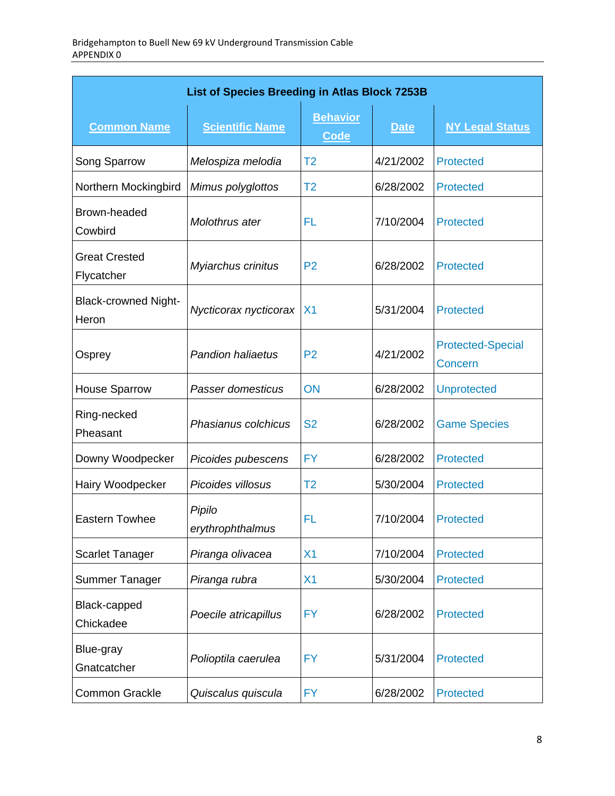| List of Species Breeding in Atlas Block 7253B |                            |                                |             |                                     |  |
|-----------------------------------------------|----------------------------|--------------------------------|-------------|-------------------------------------|--|
| <b>Common Name</b>                            | <b>Scientific Name</b>     | <b>Behavior</b><br><b>Code</b> | <b>Date</b> | <b>NY Legal Status</b>              |  |
| Song Sparrow                                  | Melospiza melodia          | T <sub>2</sub>                 | 4/21/2002   | <b>Protected</b>                    |  |
| Northern Mockingbird                          | Mimus polyglottos          | T <sub>2</sub>                 | 6/28/2002   | <b>Protected</b>                    |  |
| Brown-headed<br>Cowbird                       | Molothrus ater             | FL                             | 7/10/2004   | <b>Protected</b>                    |  |
| <b>Great Crested</b><br>Flycatcher            | Myiarchus crinitus         | P <sub>2</sub>                 | 6/28/2002   | <b>Protected</b>                    |  |
| <b>Black-crowned Night-</b><br>Heron          | Nycticorax nycticorax      | X <sub>1</sub>                 | 5/31/2004   | <b>Protected</b>                    |  |
| Osprey                                        | <b>Pandion haliaetus</b>   | P <sub>2</sub>                 | 4/21/2002   | <b>Protected-Special</b><br>Concern |  |
| <b>House Sparrow</b>                          | Passer domesticus          | ON                             | 6/28/2002   | <b>Unprotected</b>                  |  |
| Ring-necked<br>Pheasant                       | Phasianus colchicus        | <b>S2</b>                      | 6/28/2002   | <b>Game Species</b>                 |  |
| Downy Woodpecker                              | Picoides pubescens         | <b>FY</b>                      | 6/28/2002   | <b>Protected</b>                    |  |
| Hairy Woodpecker                              | Picoides villosus          | T <sub>2</sub>                 | 5/30/2004   | <b>Protected</b>                    |  |
| <b>Eastern Towhee</b>                         | Pipilo<br>erythrophthalmus | FL                             | 7/10/2004   | <b>Protected</b>                    |  |
| <b>Scarlet Tanager</b>                        | Piranga olivacea           | X <sub>1</sub>                 | 7/10/2004   | <b>Protected</b>                    |  |
| Summer Tanager                                | Piranga rubra              | X <sub>1</sub>                 | 5/30/2004   | <b>Protected</b>                    |  |
| Black-capped<br>Chickadee                     | Poecile atricapillus       | <b>FY</b>                      | 6/28/2002   | <b>Protected</b>                    |  |
| Blue-gray<br>Gnatcatcher                      | Polioptila caerulea        | <b>FY</b>                      | 5/31/2004   | <b>Protected</b>                    |  |
| <b>Common Grackle</b>                         | Quiscalus quiscula         | <b>FY</b>                      | 6/28/2002   | <b>Protected</b>                    |  |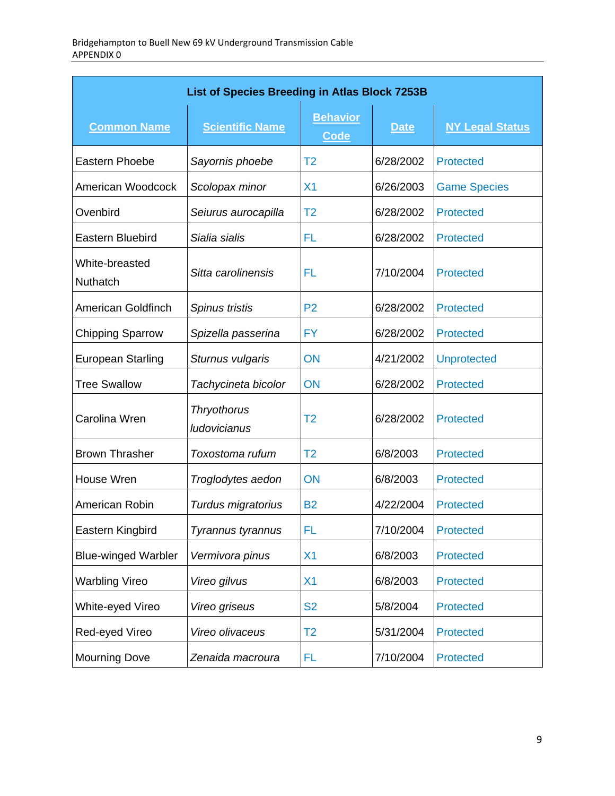| <b>List of Species Breeding in Atlas Block 7253B</b> |                             |                                |             |                        |
|------------------------------------------------------|-----------------------------|--------------------------------|-------------|------------------------|
| <b>Common Name</b>                                   | <b>Scientific Name</b>      | <b>Behavior</b><br><b>Code</b> | <b>Date</b> | <b>NY Legal Status</b> |
| Eastern Phoebe                                       | Sayornis phoebe             | T <sub>2</sub>                 | 6/28/2002   | Protected              |
| American Woodcock                                    | Scolopax minor              | X <sub>1</sub>                 | 6/26/2003   | <b>Game Species</b>    |
| Ovenbird                                             | Seiurus aurocapilla         | T2                             | 6/28/2002   | <b>Protected</b>       |
| <b>Eastern Bluebird</b>                              | Sialia sialis               | FL                             | 6/28/2002   | Protected              |
| White-breasted<br>Nuthatch                           | Sitta carolinensis          | FL                             | 7/10/2004   | Protected              |
| American Goldfinch                                   | Spinus tristis              | P <sub>2</sub>                 | 6/28/2002   | Protected              |
| <b>Chipping Sparrow</b>                              | Spizella passerina          | FY                             | 6/28/2002   | <b>Protected</b>       |
| <b>European Starling</b>                             | Sturnus vulgaris            | ON                             | 4/21/2002   | <b>Unprotected</b>     |
| <b>Tree Swallow</b>                                  | Tachycineta bicolor         | ON                             | 6/28/2002   | Protected              |
| Carolina Wren                                        | Thryothorus<br>ludovicianus | T2                             | 6/28/2002   | Protected              |
| <b>Brown Thrasher</b>                                | Toxostoma rufum             | T2                             | 6/8/2003    | Protected              |
| House Wren                                           | Troglodytes aedon           | ON                             | 6/8/2003    | <b>Protected</b>       |
| American Robin                                       | Turdus migratorius          | <b>B2</b>                      | 4/22/2004   | Protected              |
| Eastern Kingbird                                     | Tyrannus tyrannus           | FL                             | 7/10/2004   | <b>Protected</b>       |
| <b>Blue-winged Warbler</b>                           | Vermivora pinus             | X <sub>1</sub>                 | 6/8/2003    | <b>Protected</b>       |
| <b>Warbling Vireo</b>                                | Vireo gilvus                | X <sub>1</sub>                 | 6/8/2003    | <b>Protected</b>       |
| White-eyed Vireo                                     | Vireo griseus               | <b>S2</b>                      | 5/8/2004    | <b>Protected</b>       |
| Red-eyed Vireo                                       | Vireo olivaceus             | T <sub>2</sub>                 | 5/31/2004   | <b>Protected</b>       |
| <b>Mourning Dove</b>                                 | Zenaida macroura            | FL                             | 7/10/2004   | <b>Protected</b>       |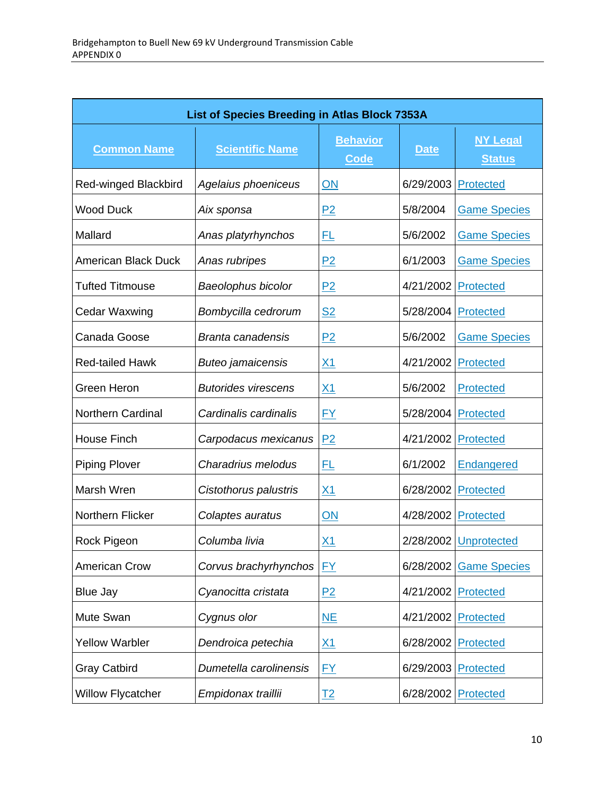| List of Species Breeding in Atlas Block 7353A |                            |                                |             |                                  |  |
|-----------------------------------------------|----------------------------|--------------------------------|-------------|----------------------------------|--|
| <b>Common Name</b>                            | <b>Scientific Name</b>     | <b>Behavior</b><br><b>Code</b> | <b>Date</b> | <b>NY Legal</b><br><b>Status</b> |  |
| <b>Red-winged Blackbird</b>                   | Agelaius phoeniceus        | ON                             | 6/29/2003   | Protected                        |  |
| <b>Wood Duck</b>                              | Aix sponsa                 | P2                             | 5/8/2004    | <b>Game Species</b>              |  |
| Mallard                                       | Anas platyrhynchos         | FL                             | 5/6/2002    | <b>Game Species</b>              |  |
| <b>American Black Duck</b>                    | Anas rubripes              | P <sub>2</sub>                 | 6/1/2003    | <b>Game Species</b>              |  |
| <b>Tufted Titmouse</b>                        | Baeolophus bicolor         | P2                             | 4/21/2002   | Protected                        |  |
| Cedar Waxwing                                 | Bombycilla cedrorum        | <u>S2</u>                      | 5/28/2004   | Protected                        |  |
| Canada Goose                                  | Branta canadensis          | P2                             | 5/6/2002    | <b>Game Species</b>              |  |
| <b>Red-tailed Hawk</b>                        | <b>Buteo jamaicensis</b>   | <u>X1</u>                      | 4/21/2002   | <b>Protected</b>                 |  |
| Green Heron                                   | <b>Butorides virescens</b> | $\underline{X1}$               | 5/6/2002    | Protected                        |  |
| <b>Northern Cardinal</b>                      | Cardinalis cardinalis      | $FY$                           | 5/28/2004   | <b>Protected</b>                 |  |
| <b>House Finch</b>                            | Carpodacus mexicanus       | P <sub>2</sub>                 | 4/21/2002   | <b>Protected</b>                 |  |
| <b>Piping Plover</b>                          | Charadrius melodus         | <u>FL</u>                      | 6/1/2002    | Endangered                       |  |
| Marsh Wren                                    | Cistothorus palustris      | <u>X1</u>                      | 6/28/2002   | <b>Protected</b>                 |  |
| Northern Flicker                              | Colaptes auratus           | ON                             | 4/28/2002   | Protected                        |  |
| Rock Pigeon                                   | Columba livia              | <u>X1</u>                      | 2/28/2002   | Unprotected                      |  |
| <b>American Crow</b>                          | Corvus brachyrhynchos      | <b>FY</b>                      | 6/28/2002   | <b>Game Species</b>              |  |
| Blue Jay                                      | Cyanocitta cristata        | P2                             | 4/21/2002   | Protected                        |  |
| Mute Swan                                     | Cygnus olor                | NE                             | 4/21/2002   | Protected                        |  |
| <b>Yellow Warbler</b>                         | Dendroica petechia         | <u>X1</u>                      | 6/28/2002   | <b>Protected</b>                 |  |
| <b>Gray Catbird</b>                           | Dumetella carolinensis     | <u>FY</u>                      | 6/29/2003   | <b>Protected</b>                 |  |
| <b>Willow Flycatcher</b>                      | Empidonax traillii         | <u>T2</u>                      | 6/28/2002   | <b>Protected</b>                 |  |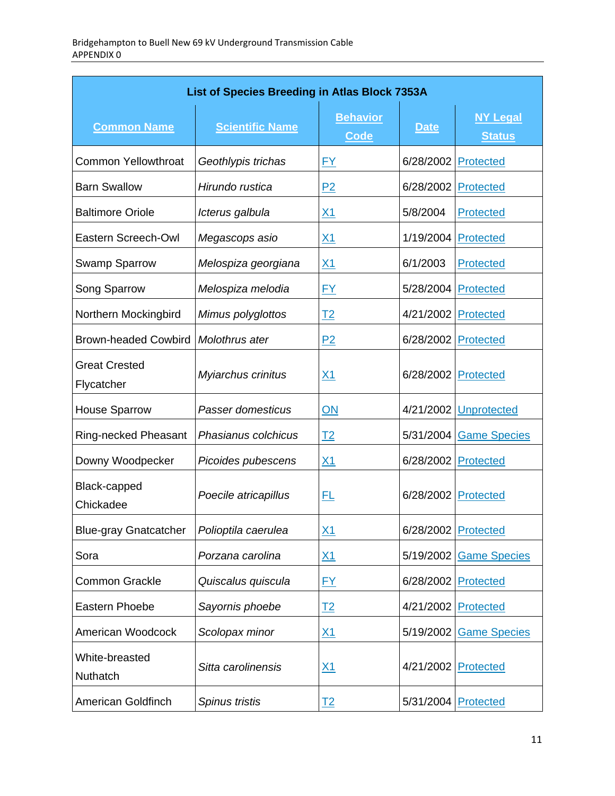| List of Species Breeding in Atlas Block 7353A |                        |                                |                     |                                  |  |
|-----------------------------------------------|------------------------|--------------------------------|---------------------|----------------------------------|--|
| <b>Common Name</b>                            | <b>Scientific Name</b> | <b>Behavior</b><br><b>Code</b> | <b>Date</b>         | <b>NY Legal</b><br><b>Status</b> |  |
| <b>Common Yellowthroat</b>                    | Geothlypis trichas     | <u>FY</u>                      | 6/28/2002           | Protected                        |  |
| <b>Barn Swallow</b>                           | Hirundo rustica        | P <sub>2</sub>                 | 6/28/2002           | Protected                        |  |
| <b>Baltimore Oriole</b>                       | Icterus galbula        | <u>X1</u>                      | 5/8/2004            | Protected                        |  |
| Eastern Screech-Owl                           | Megascops asio         | <u>X1</u>                      | 1/19/2004 Protected |                                  |  |
| <b>Swamp Sparrow</b>                          | Melospiza georgiana    | <u>X1</u>                      | 6/1/2003            | Protected                        |  |
| Song Sparrow                                  | Melospiza melodia      | <u>FY</u>                      | 5/28/2004           | Protected                        |  |
| Northern Mockingbird                          | Mimus polyglottos      | <u>T2</u>                      | 4/21/2002           | Protected                        |  |
| <b>Brown-headed Cowbird</b>                   | Molothrus ater         | P2                             | 6/28/2002           | Protected                        |  |
| <b>Great Crested</b><br>Flycatcher            | Myiarchus crinitus     | <u>X1</u>                      | 6/28/2002           | Protected                        |  |
| <b>House Sparrow</b>                          | Passer domesticus      | ON                             | 4/21/2002           | <b>Unprotected</b>               |  |
| Ring-necked Pheasant                          | Phasianus colchicus    | <u>T2</u>                      | 5/31/2004           | <b>Game Species</b>              |  |
| Downy Woodpecker                              | Picoides pubescens     | $\underline{X1}$               | 6/28/2002           | Protected                        |  |
| Black-capped<br>Chickadee                     | Poecile atricapillus   | <u>FL</u>                      | 6/28/2002           | Protected                        |  |
| <b>Blue-gray Gnatcatcher</b>                  | Polioptila caerulea    | $\underline{X1}$               | 6/28/2002 Protected |                                  |  |
| Sora                                          | Porzana carolina       | <u>X1</u>                      | 5/19/2002           | <b>Game Species</b>              |  |
| <b>Common Grackle</b>                         | Quiscalus quiscula     | <u>FY</u>                      | 6/28/2002           | Protected                        |  |
| Eastern Phoebe                                | Sayornis phoebe        | <u>T2</u>                      | 4/21/2002           | Protected                        |  |
| American Woodcock                             | Scolopax minor         | <u>X1</u>                      | 5/19/2002           | <b>Game Species</b>              |  |
| White-breasted<br>Nuthatch                    | Sitta carolinensis     | <u>X1</u>                      | 4/21/2002           | Protected                        |  |
| American Goldfinch                            | Spinus tristis         | <u>T2</u>                      | 5/31/2004           | Protected                        |  |